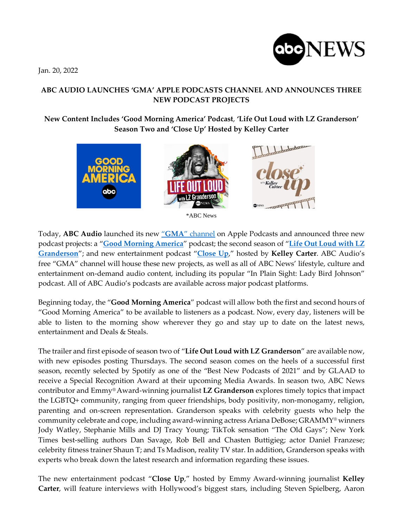Jan. 20, 2022



# **ABC AUDIO LAUNCHES 'GMA' APPLE PODCASTS CHANNEL AND ANNOUNCES THREE NEW PODCAST PROJECTS**

# **New Content Includes 'Good Morning America' Podcast**, **'Life Out Loud with LZ Granderson' Season Two and 'Close Up' Hosted by Kelley Carter**



Today, **ABC Audio** launched its new "**GMA**" [channel](https://apple.co/gma) on Apple Podcasts and announced three new podcast projects: a "**Good [Morning](https://abcaudio.com/podcasts/good-morning-america/) America**" podcast; the second season of "**Life Out [Loud](https://abcaudio.com/podcasts/life-out-loud/) with LZ [Granderson](https://abcaudio.com/podcasts/life-out-loud/)**"; and new entertainment podcast "**[Close](https://abcaudio.com/podcasts/close-up/) Up**," hosted by **Kelley Carter**. ABC Audio's free "GMA" channel will house these new projects, as well as all of ABC News' lifestyle, culture and entertainment on-demand audio content, including its popular "In Plain Sight: Lady Bird Johnson" podcast. All of ABC Audio's podcasts are available across major podcast platforms.

Beginning today, the "**Good Morning America**" podcast will allow both the first and second hours of "Good Morning America" to be available to listeners as a podcast. Now, every day, listeners will be able to listen to the morning show wherever they go and stay up to date on the latest news, entertainment and Deals & Steals.

The trailer and first episode of season two of "**Life Out Loud with LZ Granderson**" are available now, with new episodes posting Thursdays. The second season comes on the heels of a successful first season, recently selected by Spotify as one of the "Best New Podcasts of 2021" and by GLAAD to receive a Special Recognition Award at their upcoming Media Awards. In season two, ABC News contributor and Emmy®Award-winning journalist **LZ Granderson** explores timely topics that impact the LGBTQ+ community, ranging from queer friendships, body positivity, non-monogamy, religion, parenting and on-screen representation. Granderson speaks with celebrity guests who help the community celebrate and cope, including award-winning actress Ariana DeBose; GRAMMY® winners Jody Watley, Stephanie Mills and DJ Tracy Young; TikTok sensation "The Old Gays"; New York Times best-selling authors Dan Savage, Rob Bell and Chasten Buttigieg; actor Daniel Franzese; celebrity fitness trainer Shaun T; and Ts Madison, reality TV star. In addition, Granderson speaks with experts who break down the latest research and information regarding these issues.

The new entertainment podcast "**Close Up**," hosted by Emmy Award-winning journalist **Kelley Carter**, will feature interviews with Hollywood's biggest stars, including Steven Spielberg, Aaron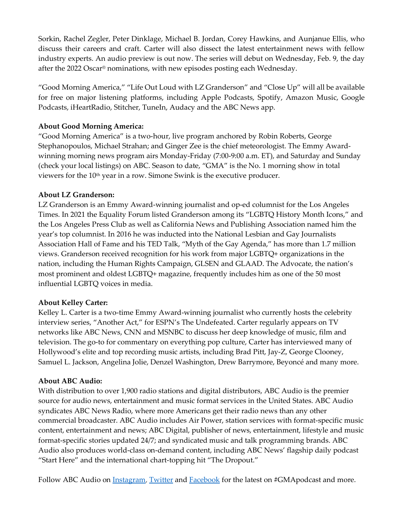Sorkin, Rachel Zegler, Peter Dinklage, Michael B. Jordan, Corey Hawkins, and Aunjanue Ellis, who discuss their careers and craft. Carter will also dissect the latest entertainment news with fellow industry experts. An audio preview is out now. The series will debut on Wednesday, Feb. 9, the day after the 2022 Oscar® nominations, with new episodes posting each Wednesday.

"Good Morning America," "Life Out Loud with LZ Granderson" and "Close Up" will all be available for free on major listening platforms, including Apple Podcasts, Spotify, Amazon Music, Google Podcasts, iHeartRadio, Stitcher, TuneIn, Audacy and the ABC News app.

## **About Good Morning America:**

"Good Morning America" is a two-hour, live program anchored by Robin Roberts, George Stephanopoulos, Michael Strahan; and Ginger Zee is the chief meteorologist. The Emmy Awardwinning morning news program airs Monday-Friday (7:00-9:00 a.m. ET), and Saturday and Sunday (check your local listings) on ABC. Season to date, "GMA" is the No. 1 morning show in total viewers for the 10th year in a row. Simone Swink is the executive producer.

### **About LZ Granderson:**

LZ Granderson is an Emmy Award-winning journalist and op-ed columnist for the Los Angeles Times. In 2021 the Equality Forum listed Granderson among its "LGBTQ History Month Icons," and the Los Angeles Press Club as well as California News and Publishing Association named him the year's top columnist. In 2016 he was inducted into the National Lesbian and Gay Journalists Association Hall of Fame and his TED Talk, "Myth of the Gay Agenda," has more than 1.7 million views. Granderson received recognition for his work from major LGBTQ+ organizations in the nation, including the Human Rights Campaign, GLSEN and GLAAD. The Advocate, the nation's most prominent and oldest LGBTQ+ magazine, frequently includes him as one of the 50 most influential LGBTQ voices in media.

### **About Kelley Carter:**

Kelley L. Carter is a two-time Emmy Award-winning journalist who currently hosts the celebrity interview series, "Another Act," for ESPN's The Undefeated. Carter regularly appears on TV networks like ABC News, CNN and MSNBC to discuss her deep knowledge of music, film and television. The go-to for commentary on everything pop culture, Carter has interviewed many of Hollywood's elite and top recording music artists, including Brad Pitt, Jay-Z, George Clooney, Samuel L. Jackson, Angelina Jolie, Denzel Washington, Drew Barrymore, Beyoncé and many more.

### **About ABC Audio:**

With distribution to over 1,900 radio stations and digital distributors, ABC Audio is the premier source for audio news, entertainment and music format services in the United States. ABC Audio syndicates ABC News Radio, where more Americans get their radio news than any other commercial broadcaster. ABC Audio includes Air Power, station services with format-specific music content, entertainment and news; ABC Digital, publisher of news, entertainment, lifestyle and music format-specific stories updated 24/7; and syndicated music and talk programming brands. ABC Audio also produces world-class on-demand content, including ABC News' flagship daily podcast "Start Here" and the international chart-topping hit "The Dropout."

Follow ABC Audio on [Instagram,](https://nam04.safelinks.protection.outlook.com/?url=https%3A%2F%2Fwww.instagram.com%2Fabcaudio%2F&data=04%7C01%7CElizabeth.Russo%40abc.com%7C110f72a273654a42f02008d9db9779db%7C56b731a8a2ac4c32bf6b616810e913c6%7C1%7C0%7C637782265899715146%7CUnknown%7CTWFpbGZsb3d8eyJWIjoiMC4wLjAwMDAiLCJQIjoiV2luMzIiLCJBTiI6Ik1haWwiLCJXVCI6Mn0%3D%7C3000&sdata=VgvBPytrPXXmlQ7URT70MNPN%2FqmUeaSUTlSSnMmIaf8%3D&reserved=0) [Twitter](https://nam04.safelinks.protection.outlook.com/?url=https%3A%2F%2Ftwitter.com%2Fabcaudio&data=04%7C01%7CElizabeth.Russo%40abc.com%7C110f72a273654a42f02008d9db9779db%7C56b731a8a2ac4c32bf6b616810e913c6%7C1%7C0%7C637782265899715146%7CUnknown%7CTWFpbGZsb3d8eyJWIjoiMC4wLjAwMDAiLCJQIjoiV2luMzIiLCJBTiI6Ik1haWwiLCJXVCI6Mn0%3D%7C3000&sdata=t%2Fru5t4%2F56xq8LuZvGd1oE5biblSPLLkiMhEXwm7SgU%3D&reserved=0) and [Facebook](https://nam04.safelinks.protection.outlook.com/?url=https%3A%2F%2Fwww.facebook.com%2FABCAudio%2F&data=04%7C01%7CElizabeth.Russo%40abc.com%7C110f72a273654a42f02008d9db9779db%7C56b731a8a2ac4c32bf6b616810e913c6%7C1%7C0%7C637782265899715146%7CUnknown%7CTWFpbGZsb3d8eyJWIjoiMC4wLjAwMDAiLCJQIjoiV2luMzIiLCJBTiI6Ik1haWwiLCJXVCI6Mn0%3D%7C3000&sdata=zP5eU%2FItt3azfjLtlmfsjg6v58fAQhgC02vD8D4rVW4%3D&reserved=0) for the latest on #GMApodcast and more.